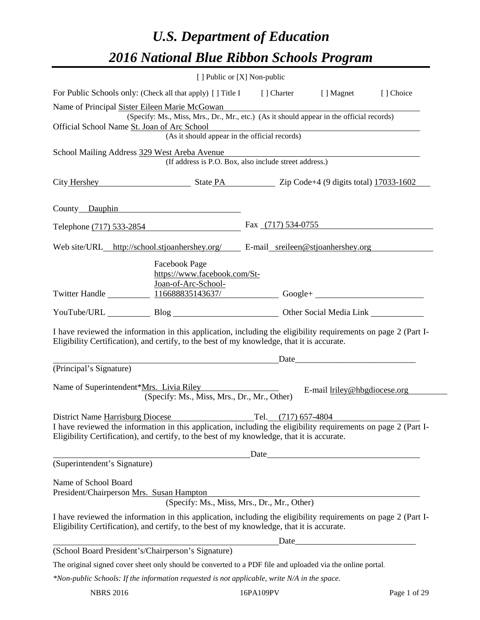# *U.S. Department of Education 2016 National Blue Ribbon Schools Program*

|                                                                                                                                                                                                                                                  |                                                                                                                                                                                                                                         | [ ] Public or [X] Non-public                |                                                                                                                                                                                                                               |  |
|--------------------------------------------------------------------------------------------------------------------------------------------------------------------------------------------------------------------------------------------------|-----------------------------------------------------------------------------------------------------------------------------------------------------------------------------------------------------------------------------------------|---------------------------------------------|-------------------------------------------------------------------------------------------------------------------------------------------------------------------------------------------------------------------------------|--|
| For Public Schools only: (Check all that apply) [] Title I [] Charter [] Magnet [] Choice                                                                                                                                                        |                                                                                                                                                                                                                                         |                                             |                                                                                                                                                                                                                               |  |
| Name of Principal Sister Eileen Marie McGowan Name of Principal Sister Eileen Marie McGowan<br>(Specify: Ms., Miss, Mrs., Dr., Mr., etc.) (As it should appear in the official records)                                                          |                                                                                                                                                                                                                                         |                                             |                                                                                                                                                                                                                               |  |
| Official School Name St. Joan of Arc School<br>f Arc School<br>(As it should appear in the official records)                                                                                                                                     |                                                                                                                                                                                                                                         |                                             |                                                                                                                                                                                                                               |  |
| School Mailing Address 329 West Areba Avenue<br>(If address is P.O. Box, also include street address.)                                                                                                                                           |                                                                                                                                                                                                                                         |                                             |                                                                                                                                                                                                                               |  |
|                                                                                                                                                                                                                                                  |                                                                                                                                                                                                                                         |                                             |                                                                                                                                                                                                                               |  |
| City Hershey State PA Zip Code+4 (9 digits total) 17033-1602                                                                                                                                                                                     |                                                                                                                                                                                                                                         |                                             |                                                                                                                                                                                                                               |  |
| County Dauphin                                                                                                                                                                                                                                   |                                                                                                                                                                                                                                         |                                             |                                                                                                                                                                                                                               |  |
| Telephone (717) 533-2854                                                                                                                                                                                                                         |                                                                                                                                                                                                                                         | Fax $(717)$ 534-0755                        |                                                                                                                                                                                                                               |  |
| Web site/URL_http://school.stjoanhershey.org/ E-mail_sreileen@stjoanhershey.org                                                                                                                                                                  |                                                                                                                                                                                                                                         |                                             |                                                                                                                                                                                                                               |  |
| Twitter Handle                                                                                                                                                                                                                                   | <b>Facebook Page</b><br>https://www.facebook.com/St-<br>Joan-of-Arc-School-                                                                                                                                                             |                                             |                                                                                                                                                                                                                               |  |
| YouTube/URL Blog Blog Cher Social Media Link                                                                                                                                                                                                     |                                                                                                                                                                                                                                         |                                             |                                                                                                                                                                                                                               |  |
| I have reviewed the information in this application, including the eligibility requirements on page 2 (Part I-<br>Eligibility Certification), and certify, to the best of my knowledge, that it is accurate.                                     |                                                                                                                                                                                                                                         |                                             |                                                                                                                                                                                                                               |  |
|                                                                                                                                                                                                                                                  | <u>Date</u> <b>Date Contract Contract Contract Contract Contract Contract Contract Contract Contract Contract Contract Contract Contract Contract Contract Contract Contract Contract Contract Contract Contract Contract Contract </b> |                                             |                                                                                                                                                                                                                               |  |
| (Principal's Signature)                                                                                                                                                                                                                          |                                                                                                                                                                                                                                         |                                             |                                                                                                                                                                                                                               |  |
| Name of Superintendent*Mrs. Livia Riley                                                                                                                                                                                                          | (Specify: Ms., Miss, Mrs., Dr., Mr., Other)                                                                                                                                                                                             |                                             | E-mail lriley@hbgdiocese.org                                                                                                                                                                                                  |  |
| District Name Harrisburg Diocese<br>I have reviewed the information in this application, including the eligibility requirements on page 2 (Part I-<br>Eligibility Certification), and certify, to the best of my knowledge, that it is accurate. |                                                                                                                                                                                                                                         | Tel.<br>$(717)$ 657-4804                    |                                                                                                                                                                                                                               |  |
| (Superintendent's Signature)                                                                                                                                                                                                                     |                                                                                                                                                                                                                                         |                                             | Date experience and the second service of the service of the service of the service of the service of the service of the service of the service of the service of the service of the service of the service of the service of |  |
| Name of School Board<br>President/Chairperson Mrs. Susan Hampton                                                                                                                                                                                 |                                                                                                                                                                                                                                         | (Specify: Ms., Miss, Mrs., Dr., Mr., Other) |                                                                                                                                                                                                                               |  |
| I have reviewed the information in this application, including the eligibility requirements on page 2 (Part I-<br>Eligibility Certification), and certify, to the best of my knowledge, that it is accurate.                                     |                                                                                                                                                                                                                                         |                                             |                                                                                                                                                                                                                               |  |
| (School Board President's/Chairperson's Signature)                                                                                                                                                                                               |                                                                                                                                                                                                                                         |                                             | Date                                                                                                                                                                                                                          |  |
|                                                                                                                                                                                                                                                  |                                                                                                                                                                                                                                         |                                             |                                                                                                                                                                                                                               |  |
| The original signed cover sheet only should be converted to a PDF file and uploaded via the online portal.<br>*Non-public Schools: If the information requested is not applicable, write N/A in the space.                                       |                                                                                                                                                                                                                                         |                                             |                                                                                                                                                                                                                               |  |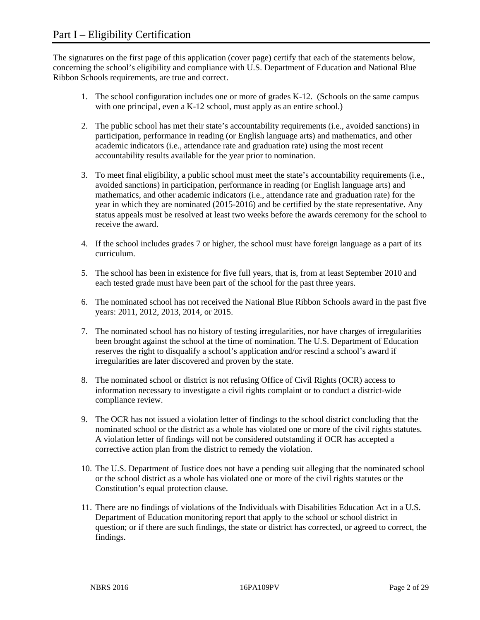The signatures on the first page of this application (cover page) certify that each of the statements below, concerning the school's eligibility and compliance with U.S. Department of Education and National Blue Ribbon Schools requirements, are true and correct.

- 1. The school configuration includes one or more of grades K-12. (Schools on the same campus with one principal, even a K-12 school, must apply as an entire school.)
- 2. The public school has met their state's accountability requirements (i.e., avoided sanctions) in participation, performance in reading (or English language arts) and mathematics, and other academic indicators (i.e., attendance rate and graduation rate) using the most recent accountability results available for the year prior to nomination.
- 3. To meet final eligibility, a public school must meet the state's accountability requirements (i.e., avoided sanctions) in participation, performance in reading (or English language arts) and mathematics, and other academic indicators (i.e., attendance rate and graduation rate) for the year in which they are nominated (2015-2016) and be certified by the state representative. Any status appeals must be resolved at least two weeks before the awards ceremony for the school to receive the award.
- 4. If the school includes grades 7 or higher, the school must have foreign language as a part of its curriculum.
- 5. The school has been in existence for five full years, that is, from at least September 2010 and each tested grade must have been part of the school for the past three years.
- 6. The nominated school has not received the National Blue Ribbon Schools award in the past five years: 2011, 2012, 2013, 2014, or 2015.
- 7. The nominated school has no history of testing irregularities, nor have charges of irregularities been brought against the school at the time of nomination. The U.S. Department of Education reserves the right to disqualify a school's application and/or rescind a school's award if irregularities are later discovered and proven by the state.
- 8. The nominated school or district is not refusing Office of Civil Rights (OCR) access to information necessary to investigate a civil rights complaint or to conduct a district-wide compliance review.
- 9. The OCR has not issued a violation letter of findings to the school district concluding that the nominated school or the district as a whole has violated one or more of the civil rights statutes. A violation letter of findings will not be considered outstanding if OCR has accepted a corrective action plan from the district to remedy the violation.
- 10. The U.S. Department of Justice does not have a pending suit alleging that the nominated school or the school district as a whole has violated one or more of the civil rights statutes or the Constitution's equal protection clause.
- 11. There are no findings of violations of the Individuals with Disabilities Education Act in a U.S. Department of Education monitoring report that apply to the school or school district in question; or if there are such findings, the state or district has corrected, or agreed to correct, the findings.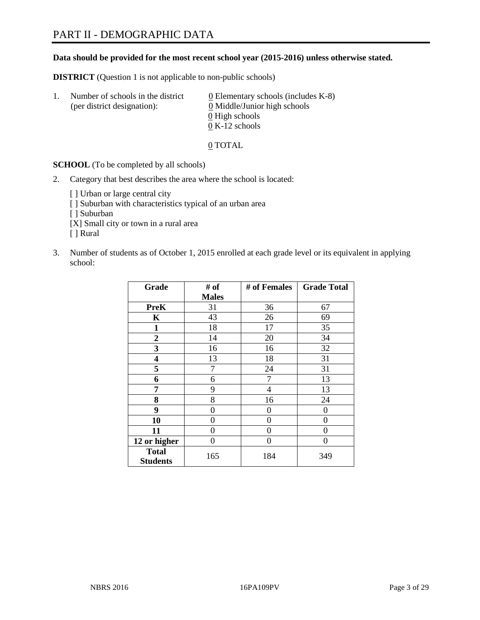# **Data should be provided for the most recent school year (2015-2016) unless otherwise stated.**

**DISTRICT** (Question 1 is not applicable to non-public schools)

| Ι. | Number of schools in the district<br>(per district designation): | $\underline{0}$ Elementary schools (includes K-8)<br>0 Middle/Junior high schools<br>0 High schools |
|----|------------------------------------------------------------------|-----------------------------------------------------------------------------------------------------|
|    |                                                                  | $0 K-12$ schools                                                                                    |

0 TOTAL

**SCHOOL** (To be completed by all schools)

2. Category that best describes the area where the school is located:

[] Urban or large central city [ ] Suburban with characteristics typical of an urban area [ ] Suburban [X] Small city or town in a rural area [ ] Rural

3. Number of students as of October 1, 2015 enrolled at each grade level or its equivalent in applying school:

| Grade                           | # of         | # of Females | <b>Grade Total</b> |
|---------------------------------|--------------|--------------|--------------------|
|                                 | <b>Males</b> |              |                    |
| <b>PreK</b>                     | 31           | 36           | 67                 |
| K                               | 43           | 26           | 69                 |
| $\mathbf{1}$                    | 18           | 17           | 35                 |
| $\overline{2}$                  | 14           | 20           | 34                 |
| 3                               | 16           | 16           | 32                 |
| 4                               | 13           | 18           | 31                 |
| 5                               | 7            | 24           | 31                 |
| 6                               | 6            | 7            | 13                 |
| 7                               | 9            | 4            | 13                 |
| 8                               | 8            | 16           | 24                 |
| 9                               | 0            | 0            | 0                  |
| 10                              | 0            | $\theta$     | 0                  |
| 11                              | $\theta$     | 0            | 0                  |
| 12 or higher                    | $\theta$     | 0            | 0                  |
| <b>Total</b><br><b>Students</b> | 165          | 184          | 349                |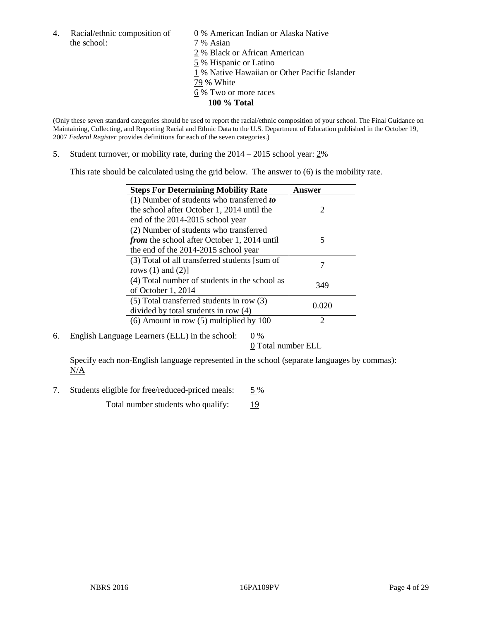4. Racial/ethnic composition of  $\qquad 0\%$  American Indian or Alaska Native the school:  $7\%$  Asian

 % Black or African American % Hispanic or Latino % Native Hawaiian or Other Pacific Islander 79 % White % Two or more races **100 % Total**

(Only these seven standard categories should be used to report the racial/ethnic composition of your school. The Final Guidance on Maintaining, Collecting, and Reporting Racial and Ethnic Data to the U.S. Department of Education published in the October 19, 2007 *Federal Register* provides definitions for each of the seven categories.)

5. Student turnover, or mobility rate, during the 2014 – 2015 school year: 2%

This rate should be calculated using the grid below. The answer to (6) is the mobility rate.

| <b>Steps For Determining Mobility Rate</b>         | <b>Answer</b>         |
|----------------------------------------------------|-----------------------|
| (1) Number of students who transferred to          |                       |
| the school after October 1, 2014 until the         | $\mathcal{D}_{\cdot}$ |
| end of the 2014-2015 school year                   |                       |
| (2) Number of students who transferred             |                       |
| <i>from</i> the school after October 1, 2014 until | 5                     |
| the end of the 2014-2015 school year               |                       |
| (3) Total of all transferred students [sum of      |                       |
| rows $(1)$ and $(2)$ ]                             |                       |
| (4) Total number of students in the school as      | 349                   |
| of October 1, 2014                                 |                       |
| $(5)$ Total transferred students in row $(3)$      |                       |
| divided by total students in row (4)               | 0.020                 |
| $(6)$ Amount in row $(5)$ multiplied by 100        | ာ                     |

6. English Language Learners (ELL) in the school:  $0\%$ 

0 Total number ELL

Specify each non-English language represented in the school (separate languages by commas): N/A

7. Students eligible for free/reduced-priced meals: 5 %

Total number students who qualify: 19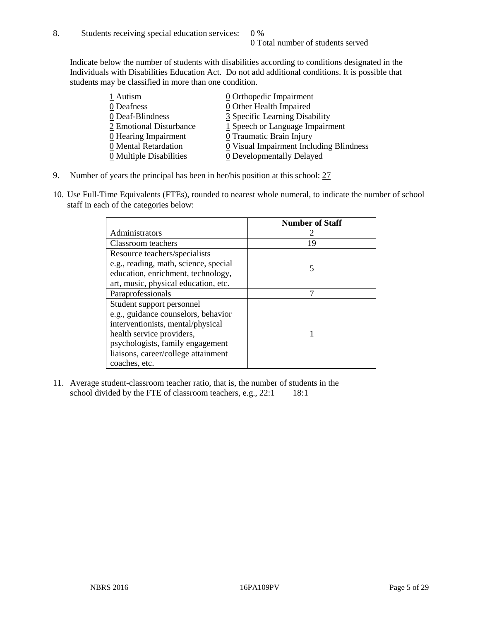Indicate below the number of students with disabilities according to conditions designated in the Individuals with Disabilities Education Act. Do not add additional conditions. It is possible that students may be classified in more than one condition.

| 1 Autism                              | $\underline{0}$ Orthopedic Impairment   |
|---------------------------------------|-----------------------------------------|
| 0 Deafness                            | 0 Other Health Impaired                 |
| 0 Deaf-Blindness                      | 3 Specific Learning Disability          |
| 2 Emotional Disturbance               | 1 Speech or Language Impairment         |
| $\underline{0}$ Hearing Impairment    | 0 Traumatic Brain Injury                |
| 0 Mental Retardation                  | 0 Visual Impairment Including Blindness |
| $\underline{0}$ Multiple Disabilities | <b>0</b> Developmentally Delayed        |

- 9. Number of years the principal has been in her/his position at this school:  $27$
- 10. Use Full-Time Equivalents (FTEs), rounded to nearest whole numeral, to indicate the number of school staff in each of the categories below:

|                                       | <b>Number of Staff</b> |
|---------------------------------------|------------------------|
| Administrators                        |                        |
| Classroom teachers                    | 19                     |
| Resource teachers/specialists         |                        |
| e.g., reading, math, science, special | 5                      |
| education, enrichment, technology,    |                        |
| art, music, physical education, etc.  |                        |
| Paraprofessionals                     | 7                      |
| Student support personnel             |                        |
| e.g., guidance counselors, behavior   |                        |
| interventionists, mental/physical     |                        |
| health service providers,             |                        |
| psychologists, family engagement      |                        |
| liaisons, career/college attainment   |                        |
| coaches, etc.                         |                        |

11. Average student-classroom teacher ratio, that is, the number of students in the school divided by the FTE of classroom teachers, e.g.,  $22:1$  18:1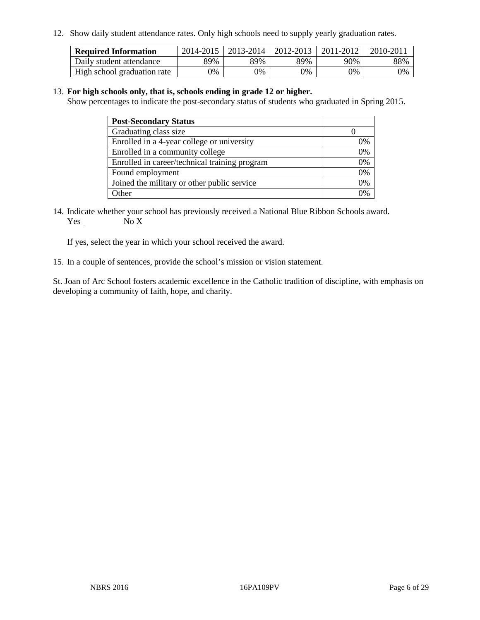12. Show daily student attendance rates. Only high schools need to supply yearly graduation rates.

| <b>Required Information</b> | 2014-2015 | 2013-2014   2012-2013 |       | 2011-2012 | 2010-2011 |
|-----------------------------|-----------|-----------------------|-------|-----------|-----------|
| Daily student attendance    | 89%       | 89%                   | 89%   | 90%       | 88%       |
| High school graduation rate | 0%        | 0%                    | $0\%$ | 9%        | 0%        |

#### 13. **For high schools only, that is, schools ending in grade 12 or higher.**

Show percentages to indicate the post-secondary status of students who graduated in Spring 2015.

| <b>Post-Secondary Status</b>                  |    |
|-----------------------------------------------|----|
| Graduating class size                         |    |
| Enrolled in a 4-year college or university    | 0% |
| Enrolled in a community college               | 0% |
| Enrolled in career/technical training program | 0% |
| Found employment                              | 0% |
| Joined the military or other public service   | 0% |
| Other                                         |    |

14. Indicate whether your school has previously received a National Blue Ribbon Schools award. Yes No X

If yes, select the year in which your school received the award.

15. In a couple of sentences, provide the school's mission or vision statement.

St. Joan of Arc School fosters academic excellence in the Catholic tradition of discipline, with emphasis on developing a community of faith, hope, and charity.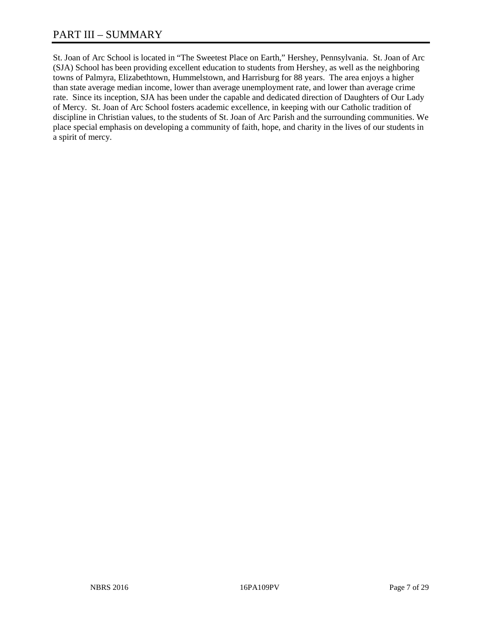# PART III – SUMMARY

St. Joan of Arc School is located in "The Sweetest Place on Earth," Hershey, Pennsylvania. St. Joan of Arc (SJA) School has been providing excellent education to students from Hershey, as well as the neighboring towns of Palmyra, Elizabethtown, Hummelstown, and Harrisburg for 88 years. The area enjoys a higher than state average median income, lower than average unemployment rate, and lower than average crime rate. Since its inception, SJA has been under the capable and dedicated direction of Daughters of Our Lady of Mercy. St. Joan of Arc School fosters academic excellence, in keeping with our Catholic tradition of discipline in Christian values, to the students of St. Joan of Arc Parish and the surrounding communities. We place special emphasis on developing a community of faith, hope, and charity in the lives of our students in a spirit of mercy.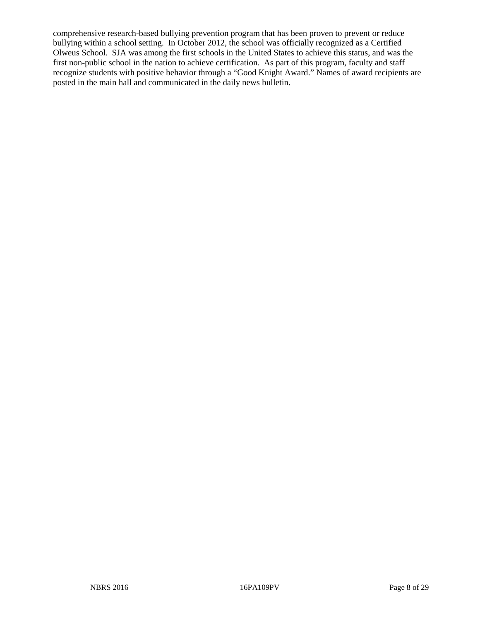comprehensive research-based bullying prevention program that has been proven to prevent or reduce bullying within a school setting. In October 2012, the school was officially recognized as a Certified Olweus School. SJA was among the first schools in the United States to achieve this status, and was the first non-public school in the nation to achieve certification. As part of this program, faculty and staff recognize students with positive behavior through a "Good Knight Award." Names of award recipients are posted in the main hall and communicated in the daily news bulletin.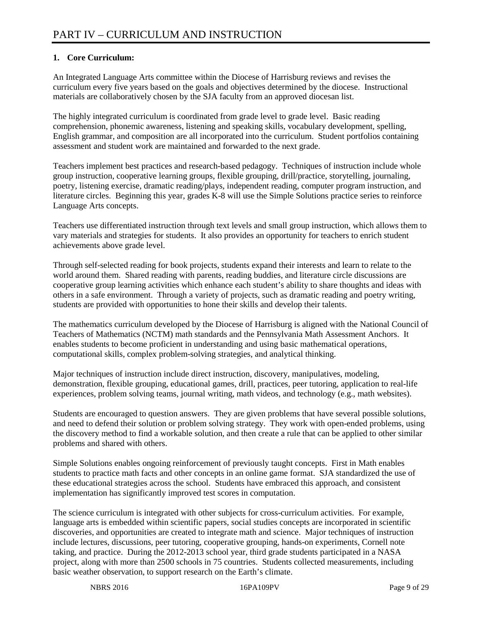# **1. Core Curriculum:**

An Integrated Language Arts committee within the Diocese of Harrisburg reviews and revises the curriculum every five years based on the goals and objectives determined by the diocese. Instructional materials are collaboratively chosen by the SJA faculty from an approved diocesan list.

The highly integrated curriculum is coordinated from grade level to grade level. Basic reading comprehension, phonemic awareness, listening and speaking skills, vocabulary development, spelling, English grammar, and composition are all incorporated into the curriculum. Student portfolios containing assessment and student work are maintained and forwarded to the next grade.

Teachers implement best practices and research-based pedagogy. Techniques of instruction include whole group instruction, cooperative learning groups, flexible grouping, drill/practice, storytelling, journaling, poetry, listening exercise, dramatic reading/plays, independent reading, computer program instruction, and literature circles. Beginning this year, grades K-8 will use the Simple Solutions practice series to reinforce Language Arts concepts.

Teachers use differentiated instruction through text levels and small group instruction, which allows them to vary materials and strategies for students. It also provides an opportunity for teachers to enrich student achievements above grade level.

Through self-selected reading for book projects, students expand their interests and learn to relate to the world around them. Shared reading with parents, reading buddies, and literature circle discussions are cooperative group learning activities which enhance each student's ability to share thoughts and ideas with others in a safe environment. Through a variety of projects, such as dramatic reading and poetry writing, students are provided with opportunities to hone their skills and develop their talents.

The mathematics curriculum developed by the Diocese of Harrisburg is aligned with the National Council of Teachers of Mathematics (NCTM) math standards and the Pennsylvania Math Assessment Anchors. It enables students to become proficient in understanding and using basic mathematical operations, computational skills, complex problem-solving strategies, and analytical thinking.

Major techniques of instruction include direct instruction, discovery, manipulatives, modeling, demonstration, flexible grouping, educational games, drill, practices, peer tutoring, application to real-life experiences, problem solving teams, journal writing, math videos, and technology (e.g., math websites).

Students are encouraged to question answers. They are given problems that have several possible solutions, and need to defend their solution or problem solving strategy. They work with open-ended problems, using the discovery method to find a workable solution, and then create a rule that can be applied to other similar problems and shared with others.

Simple Solutions enables ongoing reinforcement of previously taught concepts. First in Math enables students to practice math facts and other concepts in an online game format. SJA standardized the use of these educational strategies across the school. Students have embraced this approach, and consistent implementation has significantly improved test scores in computation.

The science curriculum is integrated with other subjects for cross-curriculum activities. For example, language arts is embedded within scientific papers, social studies concepts are incorporated in scientific discoveries, and opportunities are created to integrate math and science. Major techniques of instruction include lectures, discussions, peer tutoring, cooperative grouping, hands-on experiments, Cornell note taking, and practice. During the 2012-2013 school year, third grade students participated in a NASA project, along with more than 2500 schools in 75 countries. Students collected measurements, including basic weather observation, to support research on the Earth's climate.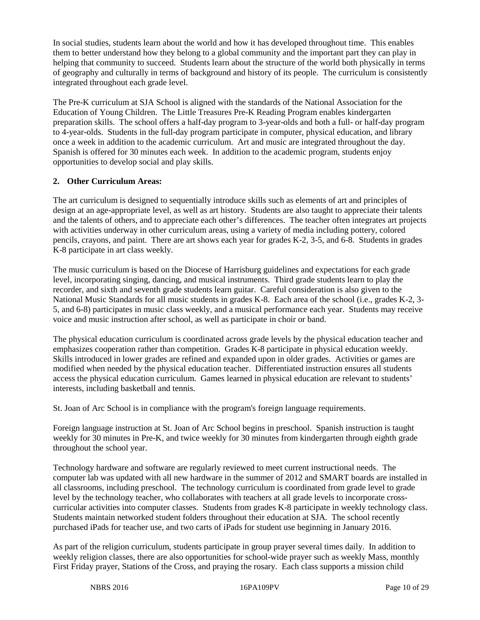In social studies, students learn about the world and how it has developed throughout time. This enables them to better understand how they belong to a global community and the important part they can play in helping that community to succeed. Students learn about the structure of the world both physically in terms of geography and culturally in terms of background and history of its people. The curriculum is consistently integrated throughout each grade level.

The Pre-K curriculum at SJA School is aligned with the standards of the National Association for the Education of Young Children. The Little Treasures Pre-K Reading Program enables kindergarten preparation skills. The school offers a half-day program to 3-year-olds and both a full- or half-day program to 4-year-olds. Students in the full-day program participate in computer, physical education, and library once a week in addition to the academic curriculum. Art and music are integrated throughout the day. Spanish is offered for 30 minutes each week. In addition to the academic program, students enjoy opportunities to develop social and play skills.

# **2. Other Curriculum Areas:**

The art curriculum is designed to sequentially introduce skills such as elements of art and principles of design at an age-appropriate level, as well as art history. Students are also taught to appreciate their talents and the talents of others, and to appreciate each other's differences. The teacher often integrates art projects with activities underway in other curriculum areas, using a variety of media including pottery, colored pencils, crayons, and paint. There are art shows each year for grades K-2, 3-5, and 6-8. Students in grades K-8 participate in art class weekly.

The music curriculum is based on the Diocese of Harrisburg guidelines and expectations for each grade level, incorporating singing, dancing, and musical instruments. Third grade students learn to play the recorder, and sixth and seventh grade students learn guitar. Careful consideration is also given to the National Music Standards for all music students in grades K-8. Each area of the school (i.e., grades K-2, 3- 5, and 6-8) participates in music class weekly, and a musical performance each year. Students may receive voice and music instruction after school, as well as participate in choir or band.

The physical education curriculum is coordinated across grade levels by the physical education teacher and emphasizes cooperation rather than competition. Grades K-8 participate in physical education weekly. Skills introduced in lower grades are refined and expanded upon in older grades. Activities or games are modified when needed by the physical education teacher. Differentiated instruction ensures all students access the physical education curriculum. Games learned in physical education are relevant to students' interests, including basketball and tennis.

St. Joan of Arc School is in compliance with the program's foreign language requirements.

Foreign language instruction at St. Joan of Arc School begins in preschool. Spanish instruction is taught weekly for 30 minutes in Pre-K, and twice weekly for 30 minutes from kindergarten through eighth grade throughout the school year.

Technology hardware and software are regularly reviewed to meet current instructional needs. The computer lab was updated with all new hardware in the summer of 2012 and SMART boards are installed in all classrooms, including preschool. The technology curriculum is coordinated from grade level to grade level by the technology teacher, who collaborates with teachers at all grade levels to incorporate crosscurricular activities into computer classes. Students from grades K-8 participate in weekly technology class. Students maintain networked student folders throughout their education at SJA. The school recently purchased iPads for teacher use, and two carts of iPads for student use beginning in January 2016.

As part of the religion curriculum, students participate in group prayer several times daily. In addition to weekly religion classes, there are also opportunities for school-wide prayer such as weekly Mass, monthly First Friday prayer, Stations of the Cross, and praying the rosary. Each class supports a mission child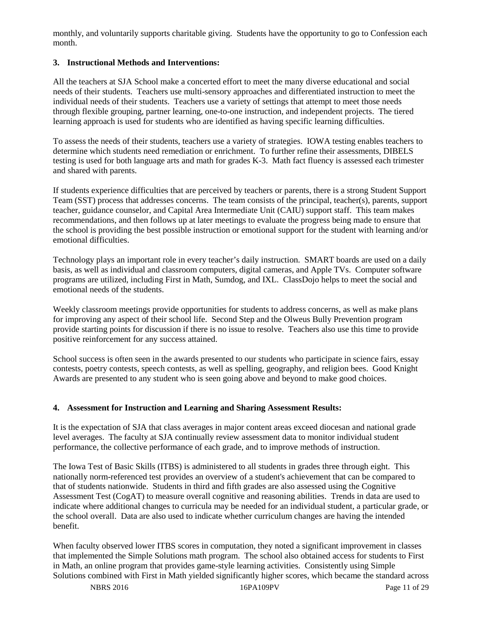monthly, and voluntarily supports charitable giving. Students have the opportunity to go to Confession each month.

# **3. Instructional Methods and Interventions:**

All the teachers at SJA School make a concerted effort to meet the many diverse educational and social needs of their students. Teachers use multi-sensory approaches and differentiated instruction to meet the individual needs of their students. Teachers use a variety of settings that attempt to meet those needs through flexible grouping, partner learning, one-to-one instruction, and independent projects. The tiered learning approach is used for students who are identified as having specific learning difficulties.

To assess the needs of their students, teachers use a variety of strategies. IOWA testing enables teachers to determine which students need remediation or enrichment. To further refine their assessments, DIBELS testing is used for both language arts and math for grades K-3. Math fact fluency is assessed each trimester and shared with parents.

If students experience difficulties that are perceived by teachers or parents, there is a strong Student Support Team (SST) process that addresses concerns. The team consists of the principal, teacher(s), parents, support teacher, guidance counselor, and Capital Area Intermediate Unit (CAIU) support staff. This team makes recommendations, and then follows up at later meetings to evaluate the progress being made to ensure that the school is providing the best possible instruction or emotional support for the student with learning and/or emotional difficulties.

Technology plays an important role in every teacher's daily instruction. SMART boards are used on a daily basis, as well as individual and classroom computers, digital cameras, and Apple TVs. Computer software programs are utilized, including First in Math, Sumdog, and IXL. ClassDojo helps to meet the social and emotional needs of the students.

Weekly classroom meetings provide opportunities for students to address concerns, as well as make plans for improving any aspect of their school life. Second Step and the Olweus Bully Prevention program provide starting points for discussion if there is no issue to resolve. Teachers also use this time to provide positive reinforcement for any success attained.

School success is often seen in the awards presented to our students who participate in science fairs, essay contests, poetry contests, speech contests, as well as spelling, geography, and religion bees. Good Knight Awards are presented to any student who is seen going above and beyond to make good choices.

# **4. Assessment for Instruction and Learning and Sharing Assessment Results:**

It is the expectation of SJA that class averages in major content areas exceed diocesan and national grade level averages. The faculty at SJA continually review assessment data to monitor individual student performance, the collective performance of each grade, and to improve methods of instruction.

The Iowa Test of Basic Skills (ITBS) is administered to all students in grades three through eight. This nationally norm-referenced test provides an overview of a student's achievement that can be compared to that of students nationwide. Students in third and fifth grades are also assessed using the Cognitive Assessment Test (CogAT) to measure overall cognitive and reasoning abilities. Trends in data are used to indicate where additional changes to curricula may be needed for an individual student, a particular grade, or the school overall. Data are also used to indicate whether curriculum changes are having the intended benefit.

When faculty observed lower ITBS scores in computation, they noted a significant improvement in classes that implemented the Simple Solutions math program. The school also obtained access for students to First in Math, an online program that provides game-style learning activities. Consistently using Simple Solutions combined with First in Math yielded significantly higher scores, which became the standard across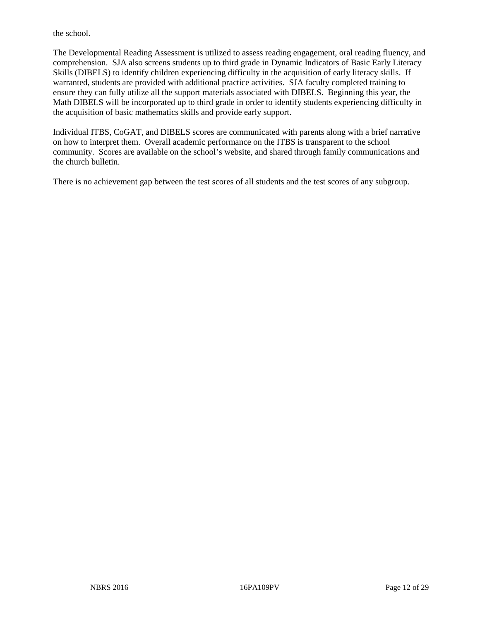the school.

The Developmental Reading Assessment is utilized to assess reading engagement, oral reading fluency, and comprehension. SJA also screens students up to third grade in Dynamic Indicators of Basic Early Literacy Skills (DIBELS) to identify children experiencing difficulty in the acquisition of early literacy skills. If warranted, students are provided with additional practice activities. SJA faculty completed training to ensure they can fully utilize all the support materials associated with DIBELS. Beginning this year, the Math DIBELS will be incorporated up to third grade in order to identify students experiencing difficulty in the acquisition of basic mathematics skills and provide early support.

Individual ITBS, CoGAT, and DIBELS scores are communicated with parents along with a brief narrative on how to interpret them. Overall academic performance on the ITBS is transparent to the school community. Scores are available on the school's website, and shared through family communications and the church bulletin.

There is no achievement gap between the test scores of all students and the test scores of any subgroup.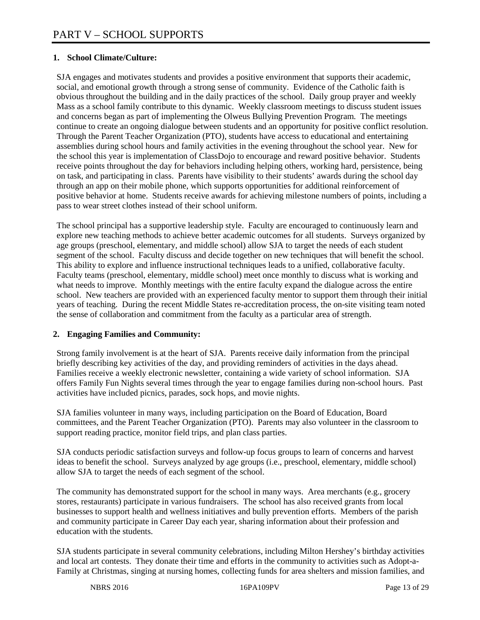# **1. School Climate/Culture:**

SJA engages and motivates students and provides a positive environment that supports their academic, social, and emotional growth through a strong sense of community. Evidence of the Catholic faith is obvious throughout the building and in the daily practices of the school. Daily group prayer and weekly Mass as a school family contribute to this dynamic. Weekly classroom meetings to discuss student issues and concerns began as part of implementing the Olweus Bullying Prevention Program. The meetings continue to create an ongoing dialogue between students and an opportunity for positive conflict resolution. Through the Parent Teacher Organization (PTO), students have access to educational and entertaining assemblies during school hours and family activities in the evening throughout the school year. New for the school this year is implementation of ClassDojo to encourage and reward positive behavior. Students receive points throughout the day for behaviors including helping others, working hard, persistence, being on task, and participating in class. Parents have visibility to their students' awards during the school day through an app on their mobile phone, which supports opportunities for additional reinforcement of positive behavior at home. Students receive awards for achieving milestone numbers of points, including a pass to wear street clothes instead of their school uniform.

The school principal has a supportive leadership style. Faculty are encouraged to continuously learn and explore new teaching methods to achieve better academic outcomes for all students. Surveys organized by age groups (preschool, elementary, and middle school) allow SJA to target the needs of each student segment of the school. Faculty discuss and decide together on new techniques that will benefit the school. This ability to explore and influence instructional techniques leads to a unified, collaborative faculty. Faculty teams (preschool, elementary, middle school) meet once monthly to discuss what is working and what needs to improve. Monthly meetings with the entire faculty expand the dialogue across the entire school. New teachers are provided with an experienced faculty mentor to support them through their initial years of teaching. During the recent Middle States re-accreditation process, the on-site visiting team noted the sense of collaboration and commitment from the faculty as a particular area of strength.

# **2. Engaging Families and Community:**

Strong family involvement is at the heart of SJA. Parents receive daily information from the principal briefly describing key activities of the day, and providing reminders of activities in the days ahead. Families receive a weekly electronic newsletter, containing a wide variety of school information. SJA offers Family Fun Nights several times through the year to engage families during non-school hours. Past activities have included picnics, parades, sock hops, and movie nights.

SJA families volunteer in many ways, including participation on the Board of Education, Board committees, and the Parent Teacher Organization (PTO). Parents may also volunteer in the classroom to support reading practice, monitor field trips, and plan class parties.

SJA conducts periodic satisfaction surveys and follow-up focus groups to learn of concerns and harvest ideas to benefit the school. Surveys analyzed by age groups (i.e., preschool, elementary, middle school) allow SJA to target the needs of each segment of the school.

The community has demonstrated support for the school in many ways. Area merchants (e.g., grocery stores, restaurants) participate in various fundraisers. The school has also received grants from local businesses to support health and wellness initiatives and bully prevention efforts. Members of the parish and community participate in Career Day each year, sharing information about their profession and education with the students.

SJA students participate in several community celebrations, including Milton Hershey's birthday activities and local art contests. They donate their time and efforts in the community to activities such as Adopt-a-Family at Christmas, singing at nursing homes, collecting funds for area shelters and mission families, and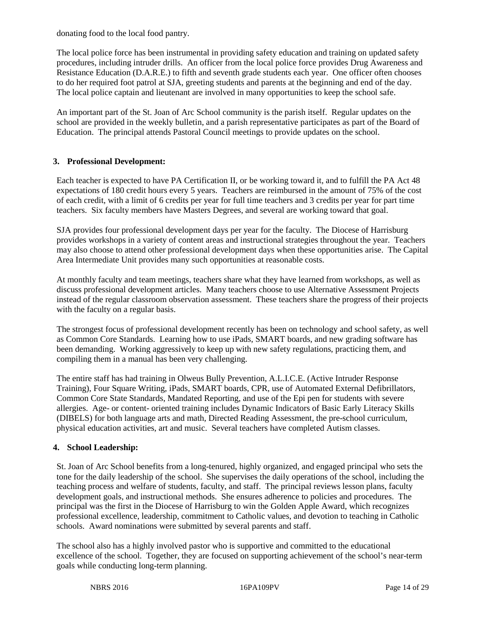donating food to the local food pantry.

The local police force has been instrumental in providing safety education and training on updated safety procedures, including intruder drills. An officer from the local police force provides Drug Awareness and Resistance Education (D.A.R.E.) to fifth and seventh grade students each year. One officer often chooses to do her required foot patrol at SJA, greeting students and parents at the beginning and end of the day. The local police captain and lieutenant are involved in many opportunities to keep the school safe.

An important part of the St. Joan of Arc School community is the parish itself. Regular updates on the school are provided in the weekly bulletin, and a parish representative participates as part of the Board of Education. The principal attends Pastoral Council meetings to provide updates on the school.

# **3. Professional Development:**

Each teacher is expected to have PA Certification II, or be working toward it, and to fulfill the PA Act 48 expectations of 180 credit hours every 5 years. Teachers are reimbursed in the amount of 75% of the cost of each credit, with a limit of 6 credits per year for full time teachers and 3 credits per year for part time teachers. Six faculty members have Masters Degrees, and several are working toward that goal.

SJA provides four professional development days per year for the faculty. The Diocese of Harrisburg provides workshops in a variety of content areas and instructional strategies throughout the year. Teachers may also choose to attend other professional development days when these opportunities arise. The Capital Area Intermediate Unit provides many such opportunities at reasonable costs.

At monthly faculty and team meetings, teachers share what they have learned from workshops, as well as discuss professional development articles. Many teachers choose to use Alternative Assessment Projects instead of the regular classroom observation assessment. These teachers share the progress of their projects with the faculty on a regular basis.

The strongest focus of professional development recently has been on technology and school safety, as well as Common Core Standards. Learning how to use iPads, SMART boards, and new grading software has been demanding. Working aggressively to keep up with new safety regulations, practicing them, and compiling them in a manual has been very challenging.

The entire staff has had training in Olweus Bully Prevention, A.L.I.C.E. (Active Intruder Response Training), Four Square Writing, iPads, SMART boards, CPR, use of Automated External Defibrillators, Common Core State Standards, Mandated Reporting, and use of the Epi pen for students with severe allergies. Age- or content- oriented training includes Dynamic Indicators of Basic Early Literacy Skills (DIBELS) for both language arts and math, Directed Reading Assessment, the pre-school curriculum, physical education activities, art and music. Several teachers have completed Autism classes.

# **4. School Leadership:**

St. Joan of Arc School benefits from a long-tenured, highly organized, and engaged principal who sets the tone for the daily leadership of the school. She supervises the daily operations of the school, including the teaching process and welfare of students, faculty, and staff. The principal reviews lesson plans, faculty development goals, and instructional methods. She ensures adherence to policies and procedures. The principal was the first in the Diocese of Harrisburg to win the Golden Apple Award, which recognizes professional excellence, leadership, commitment to Catholic values, and devotion to teaching in Catholic schools. Award nominations were submitted by several parents and staff.

The school also has a highly involved pastor who is supportive and committed to the educational excellence of the school. Together, they are focused on supporting achievement of the school's near-term goals while conducting long-term planning.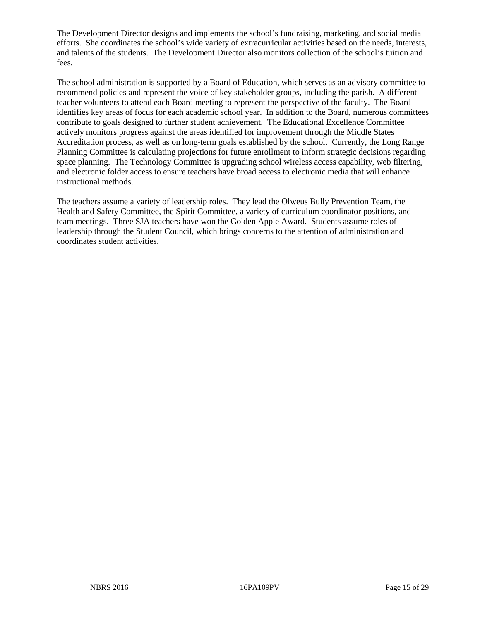The Development Director designs and implements the school's fundraising, marketing, and social media efforts. She coordinates the school's wide variety of extracurricular activities based on the needs, interests, and talents of the students. The Development Director also monitors collection of the school's tuition and fees.

The school administration is supported by a Board of Education, which serves as an advisory committee to recommend policies and represent the voice of key stakeholder groups, including the parish. A different teacher volunteers to attend each Board meeting to represent the perspective of the faculty. The Board identifies key areas of focus for each academic school year. In addition to the Board, numerous committees contribute to goals designed to further student achievement. The Educational Excellence Committee actively monitors progress against the areas identified for improvement through the Middle States Accreditation process, as well as on long-term goals established by the school. Currently, the Long Range Planning Committee is calculating projections for future enrollment to inform strategic decisions regarding space planning. The Technology Committee is upgrading school wireless access capability, web filtering, and electronic folder access to ensure teachers have broad access to electronic media that will enhance instructional methods.

The teachers assume a variety of leadership roles. They lead the Olweus Bully Prevention Team, the Health and Safety Committee, the Spirit Committee, a variety of curriculum coordinator positions, and team meetings. Three SJA teachers have won the Golden Apple Award. Students assume roles of leadership through the Student Council, which brings concerns to the attention of administration and coordinates student activities.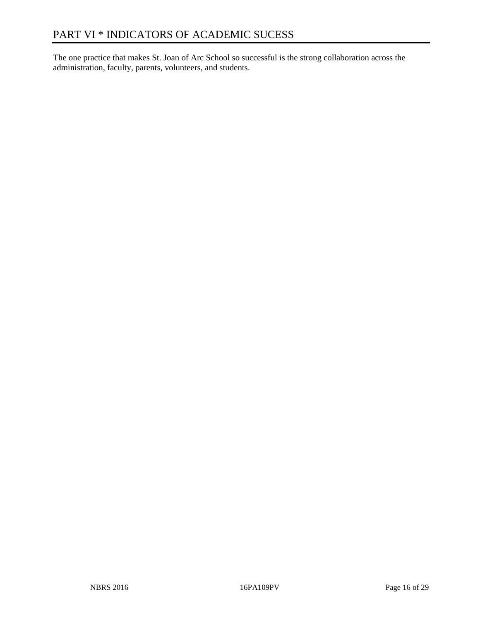The one practice that makes St. Joan of Arc School so successful is the strong collaboration across the administration, faculty, parents, volunteers, and students.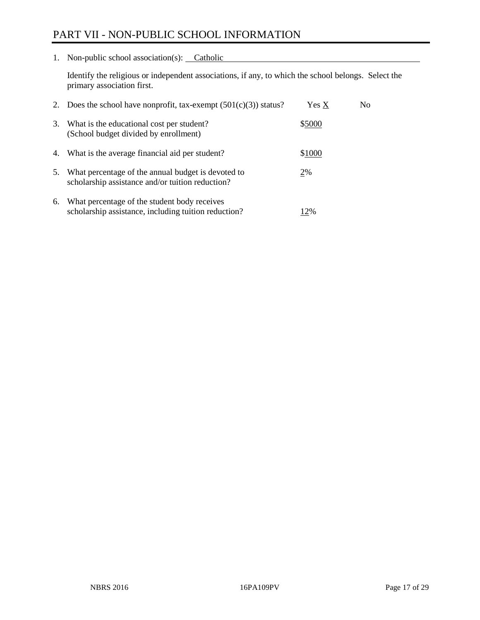# PART VII - NON-PUBLIC SCHOOL INFORMATION

1. Non-public school association(s): Catholic

Identify the religious or independent associations, if any, to which the school belongs. Select the primary association first.

| 2. | Does the school have nonprofit, tax-exempt $(501(c)(3))$ status?                                       | Yes X  | No. |
|----|--------------------------------------------------------------------------------------------------------|--------|-----|
| 3. | What is the educational cost per student?<br>(School budget divided by enrollment)                     | \$5000 |     |
| 4. | What is the average financial aid per student?                                                         | \$1000 |     |
| 5. | What percentage of the annual budget is devoted to<br>scholarship assistance and/or tuition reduction? | 2%     |     |
| 6. | What percentage of the student body receives<br>scholarship assistance, including tuition reduction?   | 12%    |     |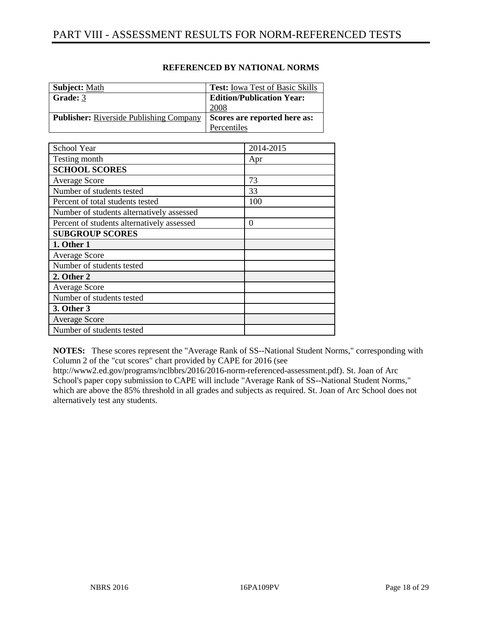| <b>Subject: Math</b>                           | <b>Test:</b> Iowa Test of Basic Skills |
|------------------------------------------------|----------------------------------------|
| Grade: 3                                       | <b>Edition/Publication Year:</b>       |
|                                                | 2008                                   |
| <b>Publisher:</b> Riverside Publishing Company | Scores are reported here as:           |
|                                                | Percentiles                            |

| School Year                                | 2014-2015 |
|--------------------------------------------|-----------|
| Testing month                              | Apr       |
| <b>SCHOOL SCORES</b>                       |           |
| <b>Average Score</b>                       | 73        |
| Number of students tested                  | 33        |
| Percent of total students tested           | 100       |
| Number of students alternatively assessed  |           |
| Percent of students alternatively assessed | $\Omega$  |
| <b>SUBGROUP SCORES</b>                     |           |
| 1. Other 1                                 |           |
| <b>Average Score</b>                       |           |
| Number of students tested                  |           |
| 2. Other 2                                 |           |
| <b>Average Score</b>                       |           |
| Number of students tested                  |           |
| 3. Other 3                                 |           |
| <b>Average Score</b>                       |           |
| Number of students tested                  |           |

**NOTES:** These scores represent the "Average Rank of SS--National Student Norms," corresponding with Column 2 of the "cut scores" chart provided by CAPE for 2016 (see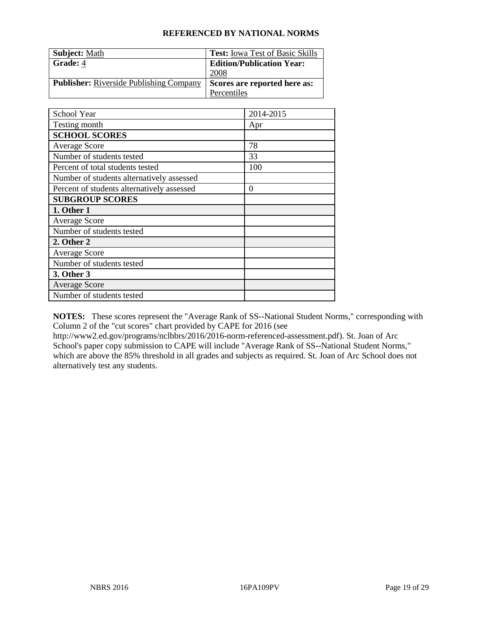| <b>Subject: Math</b>                           | <b>Test:</b> Iowa Test of Basic Skills |
|------------------------------------------------|----------------------------------------|
| Grade: 4                                       | <b>Edition/Publication Year:</b>       |
|                                                | 2008                                   |
| <b>Publisher:</b> Riverside Publishing Company | Scores are reported here as:           |
|                                                | Percentiles                            |

| School Year                                | 2014-2015        |
|--------------------------------------------|------------------|
| Testing month                              | Apr              |
| <b>SCHOOL SCORES</b>                       |                  |
| <b>Average Score</b>                       | 78               |
| Number of students tested                  | 33               |
| Percent of total students tested           | 100              |
| Number of students alternatively assessed  |                  |
| Percent of students alternatively assessed | $\boldsymbol{0}$ |
| <b>SUBGROUP SCORES</b>                     |                  |
| 1. Other 1                                 |                  |
| <b>Average Score</b>                       |                  |
| Number of students tested                  |                  |
| 2. Other 2                                 |                  |
| <b>Average Score</b>                       |                  |
| Number of students tested                  |                  |
| 3. Other 3                                 |                  |
| <b>Average Score</b>                       |                  |
| Number of students tested                  |                  |

**NOTES:** These scores represent the "Average Rank of SS--National Student Norms," corresponding with Column 2 of the "cut scores" chart provided by CAPE for 2016 (see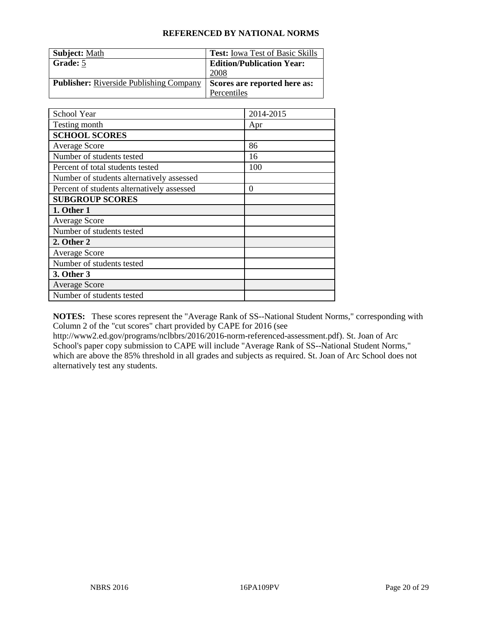| <b>Subject: Math</b>                           | <b>Test:</b> Iowa Test of Basic Skills |
|------------------------------------------------|----------------------------------------|
| Grade: 5                                       | <b>Edition/Publication Year:</b>       |
|                                                | 2008                                   |
| <b>Publisher:</b> Riverside Publishing Company | Scores are reported here as:           |
|                                                | Percentiles                            |

| School Year                                | 2014-2015 |
|--------------------------------------------|-----------|
| Testing month                              | Apr       |
| <b>SCHOOL SCORES</b>                       |           |
| <b>Average Score</b>                       | 86        |
| Number of students tested                  | 16        |
| Percent of total students tested           | 100       |
| Number of students alternatively assessed  |           |
| Percent of students alternatively assessed | $\theta$  |
| <b>SUBGROUP SCORES</b>                     |           |
| 1. Other 1                                 |           |
| <b>Average Score</b>                       |           |
| Number of students tested                  |           |
| 2. Other 2                                 |           |
| <b>Average Score</b>                       |           |
| Number of students tested                  |           |
| 3. Other 3                                 |           |
| <b>Average Score</b>                       |           |
| Number of students tested                  |           |

**NOTES:** These scores represent the "Average Rank of SS--National Student Norms," corresponding with Column 2 of the "cut scores" chart provided by CAPE for 2016 (see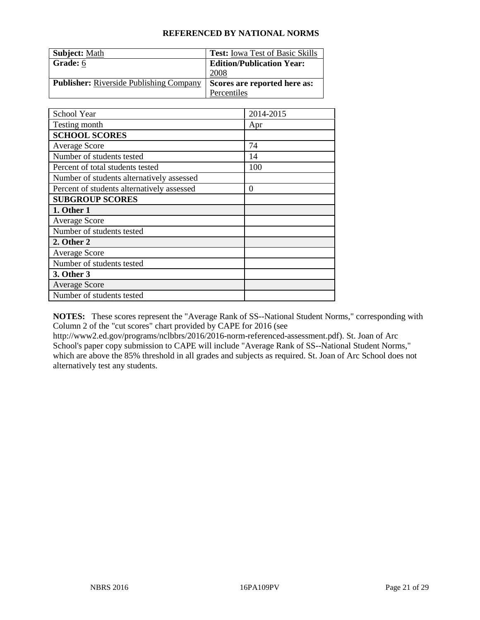| <b>Subject: Math</b>                           | <b>Test:</b> Iowa Test of Basic Skills |
|------------------------------------------------|----------------------------------------|
| Grade: 6                                       | <b>Edition/Publication Year:</b>       |
|                                                | 2008                                   |
| <b>Publisher:</b> Riverside Publishing Company | Scores are reported here as:           |
|                                                | Percentiles                            |

| School Year                                | 2014-2015 |
|--------------------------------------------|-----------|
| Testing month                              | Apr       |
| <b>SCHOOL SCORES</b>                       |           |
| <b>Average Score</b>                       | 74        |
| Number of students tested                  | 14        |
| Percent of total students tested           | 100       |
| Number of students alternatively assessed  |           |
| Percent of students alternatively assessed | $\theta$  |
| <b>SUBGROUP SCORES</b>                     |           |
| 1. Other 1                                 |           |
| <b>Average Score</b>                       |           |
| Number of students tested                  |           |
| 2. Other 2                                 |           |
| <b>Average Score</b>                       |           |
| Number of students tested                  |           |
| 3. Other 3                                 |           |
| <b>Average Score</b>                       |           |
| Number of students tested                  |           |

**NOTES:** These scores represent the "Average Rank of SS--National Student Norms," corresponding with Column 2 of the "cut scores" chart provided by CAPE for 2016 (see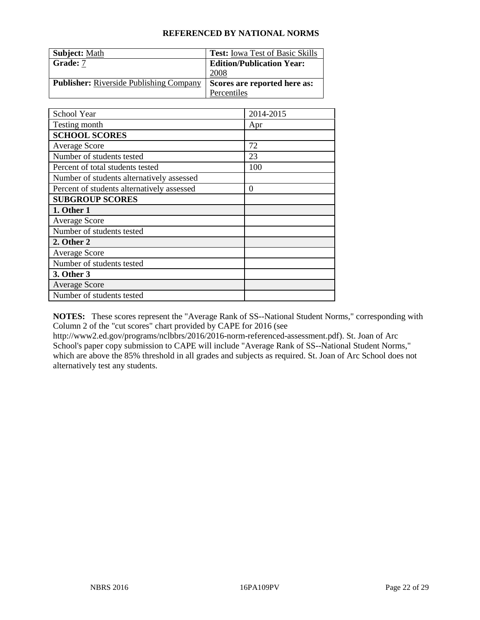| <b>Subject: Math</b>                           | <b>Test:</b> Iowa Test of Basic Skills |
|------------------------------------------------|----------------------------------------|
| Grade: 7                                       | <b>Edition/Publication Year:</b>       |
|                                                | 2008                                   |
| <b>Publisher:</b> Riverside Publishing Company | Scores are reported here as:           |
|                                                | Percentiles                            |

| School Year                                | 2014-2015 |
|--------------------------------------------|-----------|
| Testing month                              | Apr       |
| <b>SCHOOL SCORES</b>                       |           |
| <b>Average Score</b>                       | 72        |
| Number of students tested                  | 23        |
| Percent of total students tested           | 100       |
| Number of students alternatively assessed  |           |
| Percent of students alternatively assessed | $\theta$  |
| <b>SUBGROUP SCORES</b>                     |           |
| 1. Other 1                                 |           |
| <b>Average Score</b>                       |           |
| Number of students tested                  |           |
| 2. Other 2                                 |           |
| <b>Average Score</b>                       |           |
| Number of students tested                  |           |
| 3. Other 3                                 |           |
| <b>Average Score</b>                       |           |
| Number of students tested                  |           |

**NOTES:** These scores represent the "Average Rank of SS--National Student Norms," corresponding with Column 2 of the "cut scores" chart provided by CAPE for 2016 (see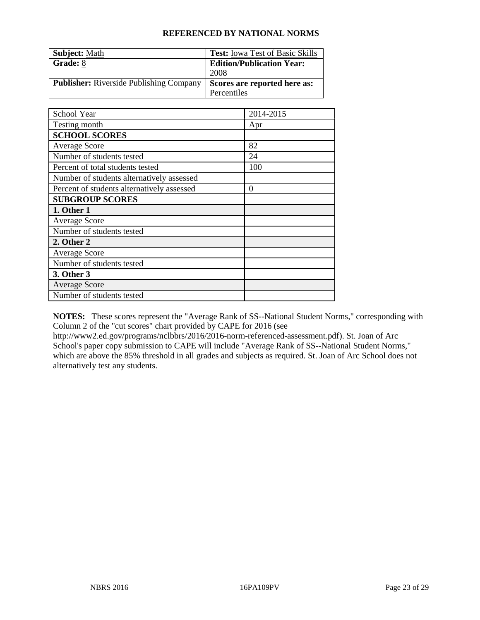| <b>Subject: Math</b>                           | <b>Test:</b> Iowa Test of Basic Skills |
|------------------------------------------------|----------------------------------------|
| Grade: 8                                       | <b>Edition/Publication Year:</b>       |
|                                                | 2008                                   |
| <b>Publisher:</b> Riverside Publishing Company | Scores are reported here as:           |
|                                                | Percentiles                            |

| School Year                                | 2014-2015 |
|--------------------------------------------|-----------|
| Testing month                              | Apr       |
| <b>SCHOOL SCORES</b>                       |           |
| <b>Average Score</b>                       | 82        |
| Number of students tested                  | 24        |
| Percent of total students tested           | 100       |
| Number of students alternatively assessed  |           |
| Percent of students alternatively assessed | $\theta$  |
| <b>SUBGROUP SCORES</b>                     |           |
| 1. Other 1                                 |           |
| <b>Average Score</b>                       |           |
| Number of students tested                  |           |
| 2. Other 2                                 |           |
| <b>Average Score</b>                       |           |
| Number of students tested                  |           |
| 3. Other 3                                 |           |
| <b>Average Score</b>                       |           |
| Number of students tested                  |           |

**NOTES:** These scores represent the "Average Rank of SS--National Student Norms," corresponding with Column 2 of the "cut scores" chart provided by CAPE for 2016 (see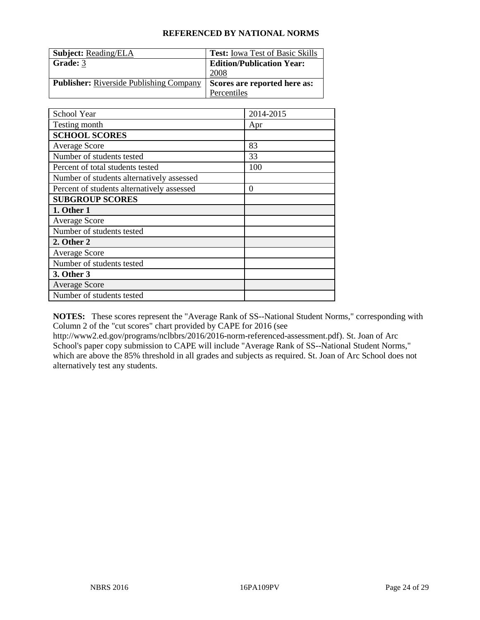| <b>Subject: Reading/ELA</b>                    | <b>Test:</b> Iowa Test of Basic Skills |
|------------------------------------------------|----------------------------------------|
| Grade: 3                                       | <b>Edition/Publication Year:</b>       |
|                                                | 2008                                   |
| <b>Publisher:</b> Riverside Publishing Company | Scores are reported here as:           |
|                                                | Percentiles                            |

| School Year                                | 2014-2015        |
|--------------------------------------------|------------------|
| Testing month                              | Apr              |
| <b>SCHOOL SCORES</b>                       |                  |
| <b>Average Score</b>                       | 83               |
| Number of students tested                  | 33               |
| Percent of total students tested           | 100              |
| Number of students alternatively assessed  |                  |
| Percent of students alternatively assessed | $\boldsymbol{0}$ |
| <b>SUBGROUP SCORES</b>                     |                  |
| 1. Other 1                                 |                  |
| <b>Average Score</b>                       |                  |
| Number of students tested                  |                  |
| 2. Other 2                                 |                  |
| <b>Average Score</b>                       |                  |
| Number of students tested                  |                  |
| 3. Other 3                                 |                  |
| <b>Average Score</b>                       |                  |
| Number of students tested                  |                  |

**NOTES:** These scores represent the "Average Rank of SS--National Student Norms," corresponding with Column 2 of the "cut scores" chart provided by CAPE for 2016 (see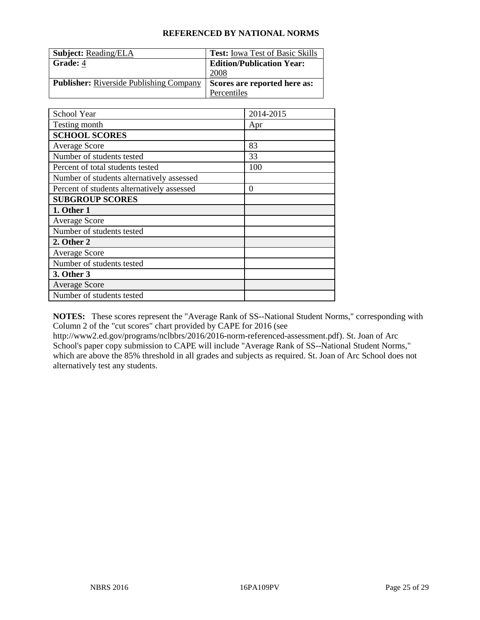| <b>Subject: Reading/ELA</b>                    | <b>Test:</b> Iowa Test of Basic Skills |
|------------------------------------------------|----------------------------------------|
| Grade: 4                                       | <b>Edition/Publication Year:</b>       |
|                                                | 2008                                   |
| <b>Publisher:</b> Riverside Publishing Company | Scores are reported here as:           |
|                                                | Percentiles                            |

| School Year                                | 2014-2015        |
|--------------------------------------------|------------------|
| Testing month                              | Apr              |
| <b>SCHOOL SCORES</b>                       |                  |
| <b>Average Score</b>                       | 83               |
| Number of students tested                  | 33               |
| Percent of total students tested           | 100              |
| Number of students alternatively assessed  |                  |
| Percent of students alternatively assessed | $\boldsymbol{0}$ |
| <b>SUBGROUP SCORES</b>                     |                  |
| 1. Other 1                                 |                  |
| <b>Average Score</b>                       |                  |
| Number of students tested                  |                  |
| 2. Other 2                                 |                  |
| <b>Average Score</b>                       |                  |
| Number of students tested                  |                  |
| 3. Other 3                                 |                  |
| <b>Average Score</b>                       |                  |
| Number of students tested                  |                  |

**NOTES:** These scores represent the "Average Rank of SS--National Student Norms," corresponding with Column 2 of the "cut scores" chart provided by CAPE for 2016 (see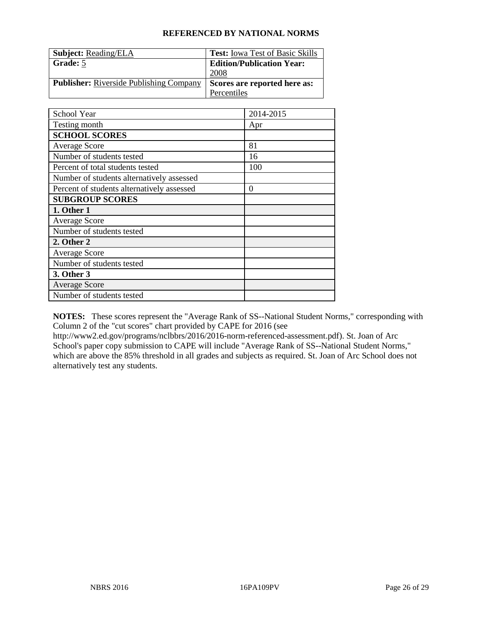| <b>Subject: Reading/ELA</b>                    | <b>Test:</b> Iowa Test of Basic Skills |
|------------------------------------------------|----------------------------------------|
| Grade: 5                                       | <b>Edition/Publication Year:</b>       |
|                                                | 2008                                   |
| <b>Publisher:</b> Riverside Publishing Company | Scores are reported here as:           |
|                                                | Percentiles                            |

| School Year                                | 2014-2015        |
|--------------------------------------------|------------------|
| Testing month                              | Apr              |
| <b>SCHOOL SCORES</b>                       |                  |
| <b>Average Score</b>                       | 81               |
| Number of students tested                  | 16               |
| Percent of total students tested           | 100              |
| Number of students alternatively assessed  |                  |
| Percent of students alternatively assessed | $\boldsymbol{0}$ |
| <b>SUBGROUP SCORES</b>                     |                  |
| 1. Other 1                                 |                  |
| <b>Average Score</b>                       |                  |
| Number of students tested                  |                  |
| 2. Other 2                                 |                  |
| <b>Average Score</b>                       |                  |
| Number of students tested                  |                  |
| 3. Other 3                                 |                  |
| <b>Average Score</b>                       |                  |
| Number of students tested                  |                  |

**NOTES:** These scores represent the "Average Rank of SS--National Student Norms," corresponding with Column 2 of the "cut scores" chart provided by CAPE for 2016 (see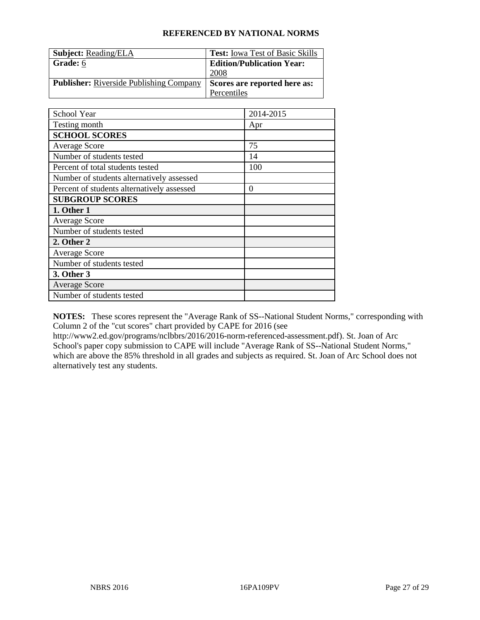| <b>Subject: Reading/ELA</b>                    | <b>Test:</b> Iowa Test of Basic Skills |
|------------------------------------------------|----------------------------------------|
| Grade: 6                                       | <b>Edition/Publication Year:</b>       |
|                                                | 2008                                   |
| <b>Publisher:</b> Riverside Publishing Company | Scores are reported here as:           |
|                                                | Percentiles                            |

| School Year                                | 2014-2015        |
|--------------------------------------------|------------------|
| Testing month                              | Apr              |
| <b>SCHOOL SCORES</b>                       |                  |
| <b>Average Score</b>                       | 75               |
| Number of students tested                  | 14               |
| Percent of total students tested           | 100              |
| Number of students alternatively assessed  |                  |
| Percent of students alternatively assessed | $\boldsymbol{0}$ |
| <b>SUBGROUP SCORES</b>                     |                  |
| 1. Other 1                                 |                  |
| <b>Average Score</b>                       |                  |
| Number of students tested                  |                  |
| 2. Other 2                                 |                  |
| <b>Average Score</b>                       |                  |
| Number of students tested                  |                  |
| 3. Other 3                                 |                  |
| <b>Average Score</b>                       |                  |
| Number of students tested                  |                  |

**NOTES:** These scores represent the "Average Rank of SS--National Student Norms," corresponding with Column 2 of the "cut scores" chart provided by CAPE for 2016 (see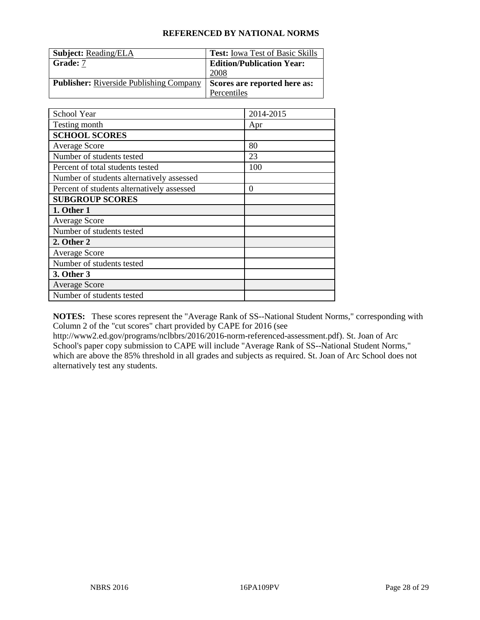| <b>Subject: Reading/ELA</b>                    | <b>Test:</b> Iowa Test of Basic Skills |
|------------------------------------------------|----------------------------------------|
| Grade: 7                                       | <b>Edition/Publication Year:</b>       |
|                                                | 2008                                   |
| <b>Publisher:</b> Riverside Publishing Company | Scores are reported here as:           |
|                                                | Percentiles                            |

| School Year                                | 2014-2015        |
|--------------------------------------------|------------------|
| Testing month                              | Apr              |
| <b>SCHOOL SCORES</b>                       |                  |
| <b>Average Score</b>                       | 80               |
| Number of students tested                  | 23               |
| Percent of total students tested           | 100              |
| Number of students alternatively assessed  |                  |
| Percent of students alternatively assessed | $\boldsymbol{0}$ |
| <b>SUBGROUP SCORES</b>                     |                  |
| 1. Other 1                                 |                  |
| <b>Average Score</b>                       |                  |
| Number of students tested                  |                  |
| 2. Other 2                                 |                  |
| <b>Average Score</b>                       |                  |
| Number of students tested                  |                  |
| 3. Other 3                                 |                  |
| <b>Average Score</b>                       |                  |
| Number of students tested                  |                  |

**NOTES:** These scores represent the "Average Rank of SS--National Student Norms," corresponding with Column 2 of the "cut scores" chart provided by CAPE for 2016 (see